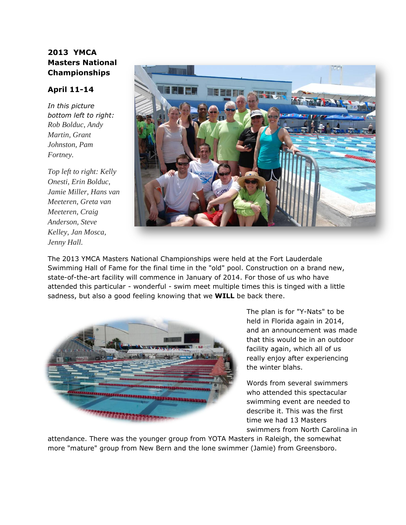## **2013 YMCA Masters National Championships**

## **April 11-14**

*In this picture bottom left to right: Rob Bolduc, Andy Martin, Grant Johnston, Pam Fortney.*

*Top left to right: Kelly Onesti, Erin Bolduc, Jamie Miller, Hans van Meeteren, Greta van Meeteren, Craig Anderson, Steve Kelley, Jan Mosca, Jenny Hall.*



The 2013 YMCA Masters National Championships were held at the Fort Lauderdale Swimming Hall of Fame for the final time in the "old" pool. Construction on a brand new, state-of-the-art facility will commence in January of 2014. For those of us who have attended this particular - wonderful - swim meet multiple times this is tinged with a little sadness, but also a good feeling knowing that we **WILL** be back there.



The plan is for "Y-Nats" to be held in Florida again in 2014, and an announcement was made that this would be in an outdoor facility again, which all of us really enjoy after experiencing the winter blahs.

Words from several swimmers who attended this spectacular swimming event are needed to describe it. This was the first time we had 13 Masters swimmers from North Carolina in

attendance. There was the younger group from YOTA Masters in Raleigh, the somewhat more "mature" group from New Bern and the lone swimmer (Jamie) from Greensboro.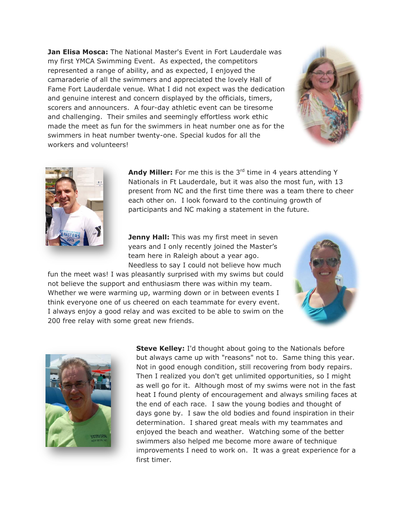**Jan Elisa Mosca:** The National Master's Event in Fort Lauderdale was my first YMCA Swimming Event. As expected, the competitors represented a range of ability, and as expected, I enjoyed the camaraderie of all the swimmers and appreciated the lovely Hall of Fame Fort Lauderdale venue. What I did not expect was the dedication and genuine interest and concern displayed by the officials, timers, scorers and announcers. A four-day athletic event can be tiresome and challenging. Their smiles and seemingly effortless work ethic made the meet as fun for the swimmers in heat number one as for the swimmers in heat number twenty-one. Special kudos for all the workers and volunteers!





**Andy Miller:** For me this is the 3<sup>rd</sup> time in 4 years attending Y Nationals in Ft Lauderdale, but it was also the most fun, with 13 present from NC and the first time there was a team there to cheer each other on. I look forward to the continuing growth of participants and NC making a statement in the future.

**Jenny Hall:** This was my first meet in seven years and I only recently joined the Master's team here in Raleigh about a year ago. Needless to say I could not believe how much

fun the meet was! I was pleasantly surprised with my swims but could not believe the support and enthusiasm there was within my team. Whether we were warming up, warming down or in between events I think everyone one of us cheered on each teammate for every event. I always enjoy a good relay and was excited to be able to swim on the 200 free relay with some great new friends.





**Steve Kelley:** I'd thought about going to the Nationals before but always came up with "reasons" not to. Same thing this year. Not in good enough condition, still recovering from body repairs. Then I realized you don't get unlimited opportunities, so I might as well go for it. Although most of my swims were not in the fast heat I found plenty of encouragement and always smiling faces at the end of each race. I saw the young bodies and thought of days gone by. I saw the old bodies and found inspiration in their determination. I shared great meals with my teammates and enjoyed the beach and weather. Watching some of the better swimmers also helped me become more aware of technique improvements I need to work on. It was a great experience for a first timer.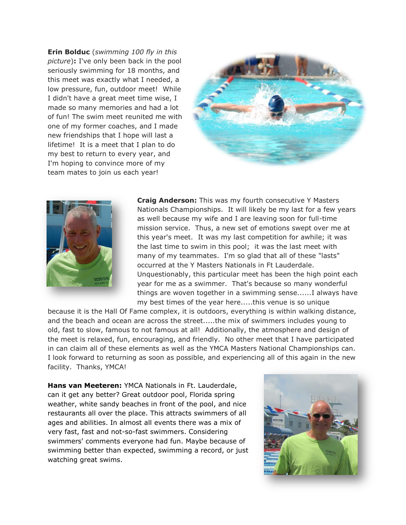**Erin Bolduc** (*swimming 100 fly in this picture*)**:** I've only been back in the pool seriously swimming for 18 months, and this meet was exactly what I needed, a low pressure, fun, outdoor meet! While I didn't have a great meet time wise, I made so many memories and had a lot of fun! The swim meet reunited me with one of my former coaches, and I made new friendships that I hope will last a lifetime! It is a meet that I plan to do my best to return to every year, and I'm hoping to convince more of my team mates to join us each year!





**Craig Anderson:** This was my fourth consecutive Y Masters Nationals Championships. It will likely be my last for a few years as well because my wife and I are leaving soon for full-time mission service. Thus, a new set of emotions swept over me at this year's meet. It was my last competition for awhile; it was the last time to swim in this pool; it was the last meet with many of my teammates. I'm so glad that all of these "lasts" occurred at the Y Masters Nationals in Ft Lauderdale. Unquestionably, this particular meet has been the high point each year for me as a swimmer. That's because so many wonderful things are woven together in a swimming sense......I always have my best times of the year here.....this venue is so unique

because it is the Hall Of Fame complex, it is outdoors, everything is within walking distance, and the beach and ocean are across the street.....the mix of swimmers includes young to old, fast to slow, famous to not famous at all! Additionally, the atmosphere and design of the meet is relaxed, fun, encouraging, and friendly. No other meet that I have participated in can claim all of these elements as well as the YMCA Masters National Championships can. I look forward to returning as soon as possible, and experiencing all of this again in the new facility. Thanks, YMCA!

**Hans van Meeteren:** YMCA Nationals in Ft. Lauderdale, can it get any better? Great outdoor pool, Florida spring weather, white sandy beaches in front of the pool, and nice restaurants all over the place. This attracts swimmers of all ages and abilities. In almost all events there was a mix of very fast, fast and not-so-fast swimmers. Considering swimmers' comments everyone had fun. Maybe because of swimming better than expected, swimming a record, or just watching great swims.